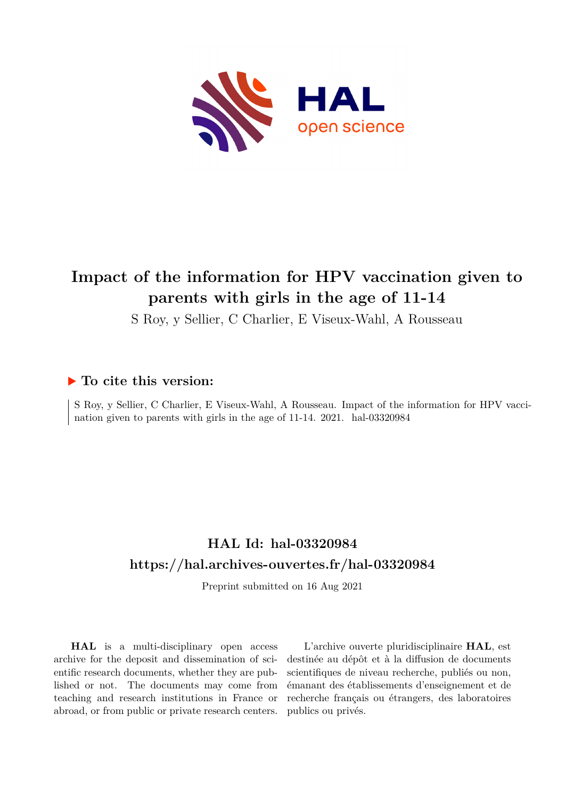

# **Impact of the information for HPV vaccination given to parents with girls in the age of 11-14**

S Roy, y Sellier, C Charlier, E Viseux-Wahl, A Rousseau

## **To cite this version:**

S Roy, y Sellier, C Charlier, E Viseux-Wahl, A Rousseau. Impact of the information for HPV vaccination given to parents with girls in the age of  $11-14$ .  $2021$ . hal-03320984

# **HAL Id: hal-03320984 <https://hal.archives-ouvertes.fr/hal-03320984>**

Preprint submitted on 16 Aug 2021

**HAL** is a multi-disciplinary open access archive for the deposit and dissemination of scientific research documents, whether they are published or not. The documents may come from teaching and research institutions in France or abroad, or from public or private research centers.

L'archive ouverte pluridisciplinaire **HAL**, est destinée au dépôt et à la diffusion de documents scientifiques de niveau recherche, publiés ou non, émanant des établissements d'enseignement et de recherche français ou étrangers, des laboratoires publics ou privés.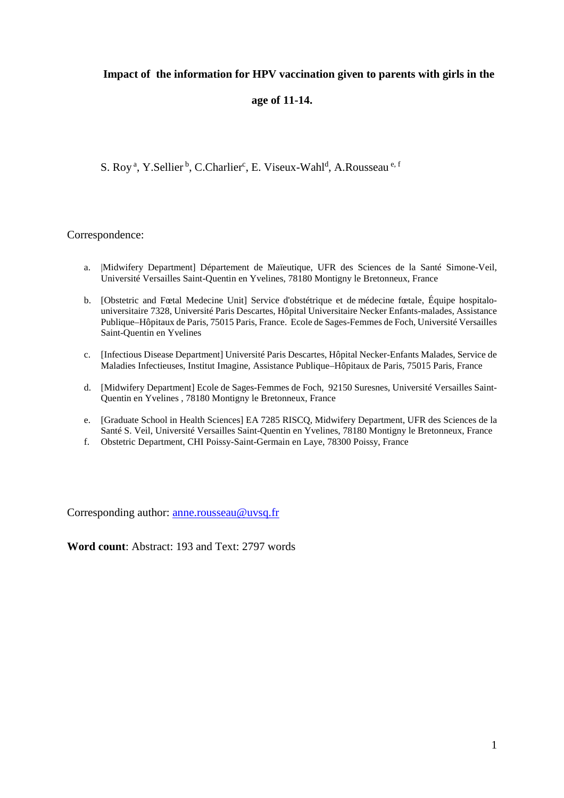## **Impact of the information for HPV vaccination given to parents with girls in the**

## **age of 11-14.**

S. Roy<sup>a</sup>, Y.Sellier<sup>b</sup>, C.Charlier<sup>c</sup>, E. Viseux-Wahl<sup>d</sup>, A.Rousseau<sup>e, f</sup>

## Correspondence:

- a. |Midwifery Department] Département de Maïeutique, UFR des Sciences de la Santé Simone-Veil, Université Versailles Saint-Quentin en Yvelines, 78180 Montigny le Bretonneux, France
- b. [Obstetric and Fœtal Medecine Unit] Service d'obstétrique et de médecine fœtale, Équipe hospitalouniversitaire 7328, Université Paris Descartes, Hôpital Universitaire Necker Enfants-malades, Assistance Publique–Hôpitaux de Paris, 75015 Paris, France. Ecole de Sages-Femmes de Foch, Université Versailles Saint-Quentin en Yvelines
- c. [Infectious Disease Department] Université Paris Descartes, Hôpital Necker-Enfants Malades, Service de Maladies Infectieuses, Institut Imagine, Assistance Publique–Hôpitaux de Paris, 75015 Paris, France
- d. [Midwifery Department] Ecole de Sages-Femmes de Foch, 92150 Suresnes, Université Versailles Saint-Quentin en Yvelines , 78180 Montigny le Bretonneux, France
- e. [Graduate School in Health Sciences] EA 7285 RISCQ, Midwifery Department, UFR des Sciences de la Santé S. Veil, Université Versailles Saint-Quentin en Yvelines, 78180 Montigny le Bretonneux, France
- f. Obstetric Department, CHI Poissy-Saint-Germain en Laye, 78300 Poissy, France

Corresponding author: anne.rousseau@uvsq.fr

**Word count**: Abstract: 193 and Text: 2797 words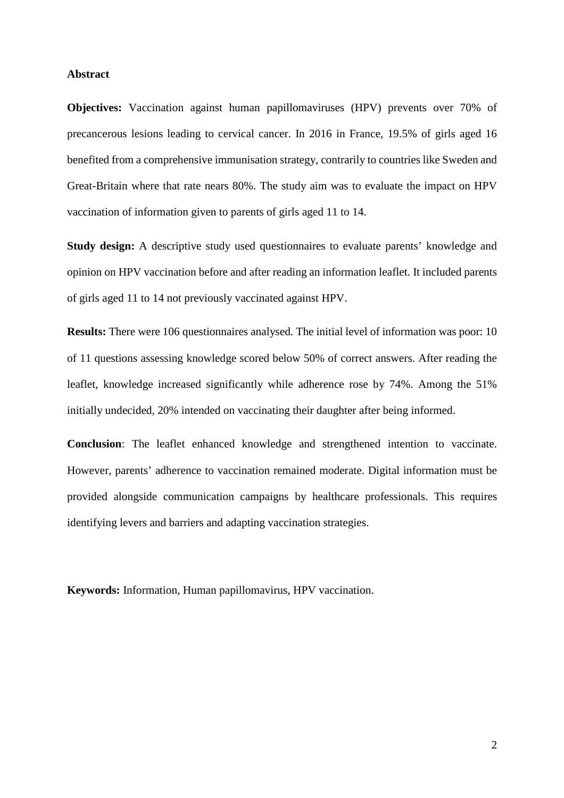#### **Abstract**

**Objectives:** Vaccination against human papillomaviruses (HPV) prevents over 70% of precancerous lesions leading to cervical cancer. In 2016 in France, 19.5% of girls aged 16 benefited from a comprehensive immunisation strategy, contrarily to countries like Sweden and Great-Britain where that rate nears 80%. The study aim was to evaluate the impact on HPV vaccination of information given to parents of girls aged 11 to 14.

**Study design:** A descriptive study used questionnaires to evaluate parents' knowledge and opinion on HPV vaccination before and after reading an information leaflet. It included parents of girls aged 11 to 14 not previously vaccinated against HPV.

**Results:** There were 106 questionnaires analysed. The initial level of information was poor: 10 of 11 questions assessing knowledge scored below 50% of correct answers. After reading the leaflet, knowledge increased significantly while adherence rose by 74%. Among the 51% initially undecided, 20% intended on vaccinating their daughter after being informed.

**Conclusion**: The leaflet enhanced knowledge and strengthened intention to vaccinate. However, parents' adherence to vaccination remained moderate. Digital information must be provided alongside communication campaigns by healthcare professionals. This requires identifying levers and barriers and adapting vaccination strategies.

**Keywords:** Information, Human papillomavirus, HPV vaccination.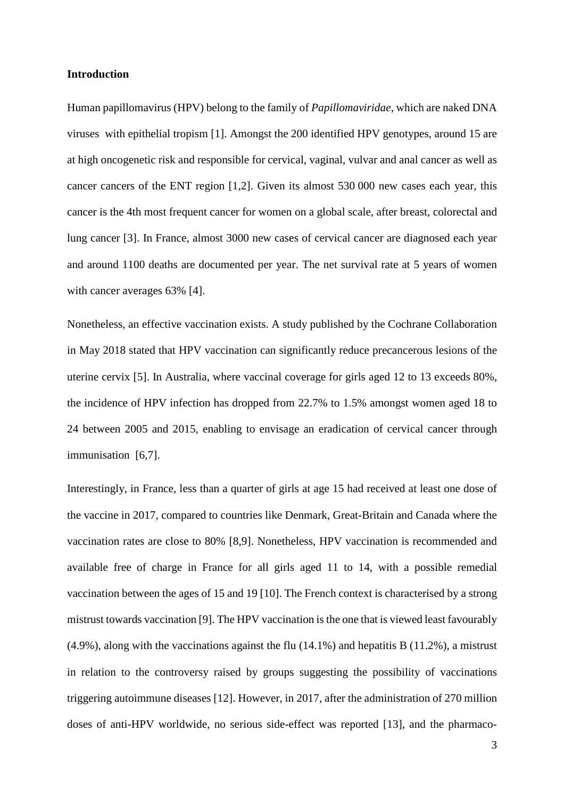#### **Introduction**

Human papillomavirus (HPV) belong to the family of *Papillomaviridae*, which are naked DNA viruses with epithelial tropism [1]. Amongst the 200 identified HPV genotypes, around 15 are at high oncogenetic risk and responsible for cervical, vaginal, vulvar and anal cancer as well as cancer cancers of the ENT region [1,2]. Given its almost 530 000 new cases each year, this cancer is the 4th most frequent cancer for women on a global scale, after breast, colorectal and lung cancer [3]. In France, almost 3000 new cases of cervical cancer are diagnosed each year and around 1100 deaths are documented per year. The net survival rate at 5 years of women with cancer averages 63% [4].

Nonetheless, an effective vaccination exists. A study published by the Cochrane Collaboration in May 2018 stated that HPV vaccination can significantly reduce precancerous lesions of the uterine cervix [5]. In Australia, where vaccinal coverage for girls aged 12 to 13 exceeds 80%, the incidence of HPV infection has dropped from 22.7% to 1.5% amongst women aged 18 to 24 between 2005 and 2015, enabling to envisage an eradication of cervical cancer through immunisation [6,7].

Interestingly, in France, less than a quarter of girls at age 15 had received at least one dose of the vaccine in 2017, compared to countries like Denmark, Great-Britain and Canada where the vaccination rates are close to 80% [8,9]. Nonetheless, HPV vaccination is recommended and available free of charge in France for all girls aged 11 to 14, with a possible remedial vaccination between the ages of 15 and 19 [10]. The French context is characterised by a strong mistrust towards vaccination [9]. The HPV vaccination is the one that is viewed least favourably (4.9%), along with the vaccinations against the flu (14.1%) and hepatitis B (11.2%), a mistrust in relation to the controversy raised by groups suggesting the possibility of vaccinations triggering autoimmune diseases [12]. However, in 2017, after the administration of 270 million doses of anti-HPV worldwide, no serious side-effect was reported [13], and the pharmaco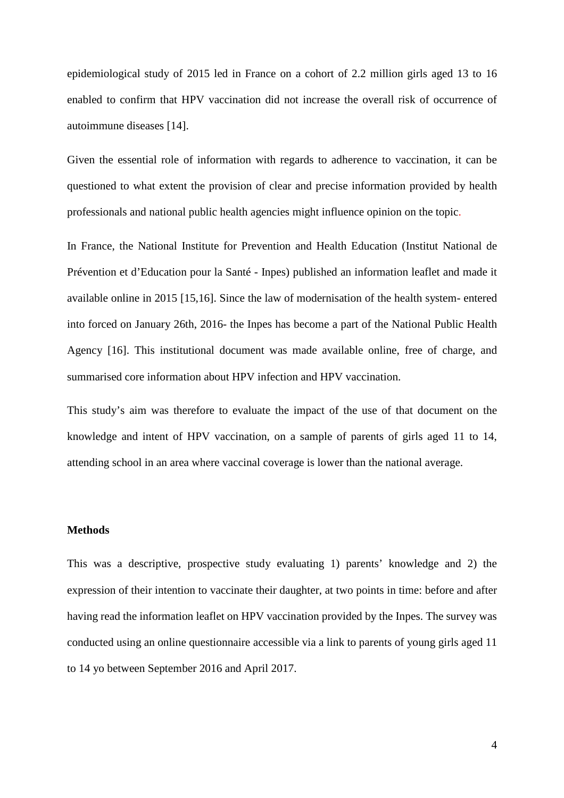epidemiological study of 2015 led in France on a cohort of 2.2 million girls aged 13 to 16 enabled to confirm that HPV vaccination did not increase the overall risk of occurrence of autoimmune diseases [14].

Given the essential role of information with regards to adherence to vaccination, it can be questioned to what extent the provision of clear and precise information provided by health professionals and national public health agencies might influence opinion on the topic.

In France, the National Institute for Prevention and Health Education (Institut National de Prévention et d'Education pour la Santé - Inpes) published an information leaflet and made it available online in 2015 [15,16]. Since the law of modernisation of the health system- entered into forced on January 26th, 2016- the Inpes has become a part of the National Public Health Agency [16]. This institutional document was made available online, free of charge, and summarised core information about HPV infection and HPV vaccination.

This study's aim was therefore to evaluate the impact of the use of that document on the knowledge and intent of HPV vaccination, on a sample of parents of girls aged 11 to 14, attending school in an area where vaccinal coverage is lower than the national average.

#### **Methods**

This was a descriptive, prospective study evaluating 1) parents' knowledge and 2) the expression of their intention to vaccinate their daughter, at two points in time: before and after having read the information leaflet on HPV vaccination provided by the Inpes. The survey was conducted using an online questionnaire accessible via a link to parents of young girls aged 11 to 14 yo between September 2016 and April 2017.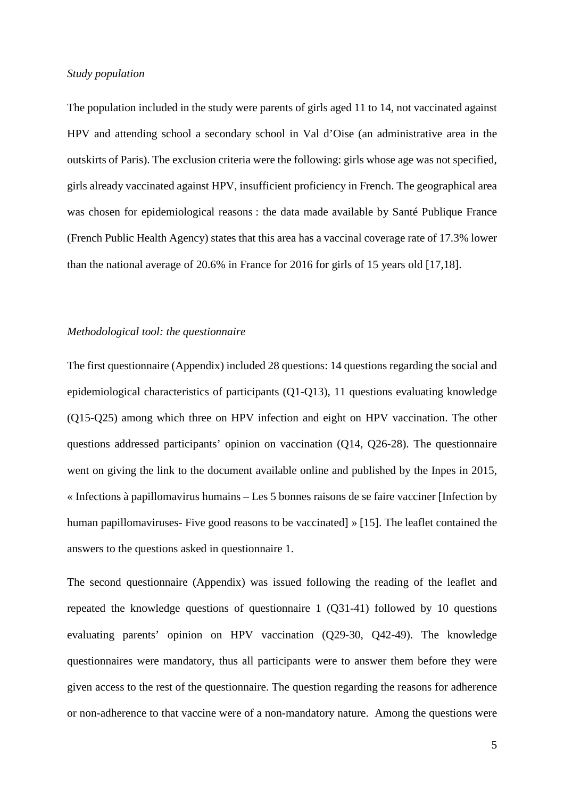#### *Study population*

The population included in the study were parents of girls aged 11 to 14, not vaccinated against HPV and attending school a secondary school in Val d'Oise (an administrative area in the outskirts of Paris). The exclusion criteria were the following: girls whose age was not specified, girls already vaccinated against HPV, insufficient proficiency in French. The geographical area was chosen for epidemiological reasons : the data made available by Santé Publique France (French Public Health Agency) states that this area has a vaccinal coverage rate of 17.3% lower than the national average of 20.6% in France for 2016 for girls of 15 years old [17,18].

#### *Methodological tool: the questionnaire*

The first questionnaire (Appendix) included 28 questions: 14 questions regarding the social and epidemiological characteristics of participants (Q1-Q13), 11 questions evaluating knowledge (Q15-Q25) among which three on HPV infection and eight on HPV vaccination. The other questions addressed participants' opinion on vaccination (Q14, Q26-28). The questionnaire went on giving the link to the document available online and published by the Inpes in 2015, « Infections à papillomavirus humains – Les 5 bonnes raisons de se faire vacciner [Infection by human papillomaviruses- Five good reasons to be vaccinated] » [15]. The leaflet contained the answers to the questions asked in questionnaire 1.

The second questionnaire (Appendix) was issued following the reading of the leaflet and repeated the knowledge questions of questionnaire 1 (Q31-41) followed by 10 questions evaluating parents' opinion on HPV vaccination (Q29-30, Q42-49). The knowledge questionnaires were mandatory, thus all participants were to answer them before they were given access to the rest of the questionnaire. The question regarding the reasons for adherence or non-adherence to that vaccine were of a non-mandatory nature. Among the questions were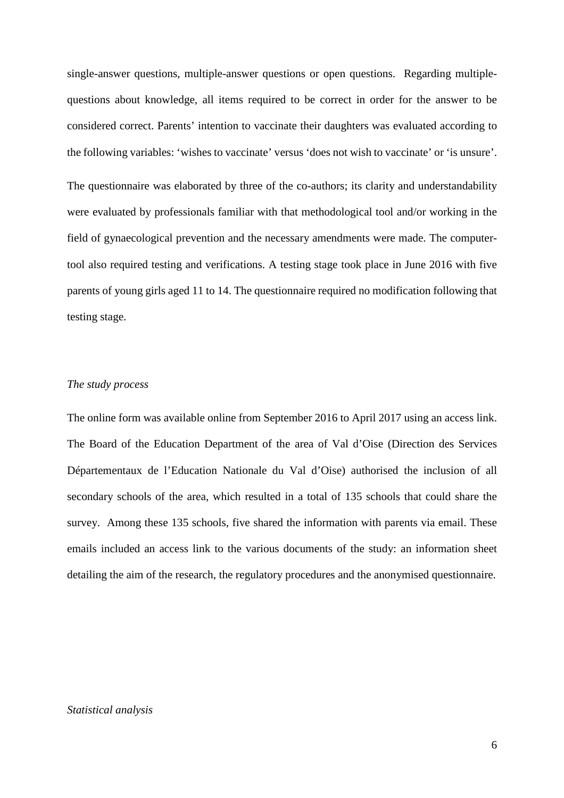single-answer questions, multiple-answer questions or open questions. Regarding multiplequestions about knowledge, all items required to be correct in order for the answer to be considered correct. Parents' intention to vaccinate their daughters was evaluated according to the following variables: 'wishes to vaccinate' versus 'does not wish to vaccinate' or 'is unsure'.

The questionnaire was elaborated by three of the co-authors; its clarity and understandability were evaluated by professionals familiar with that methodological tool and/or working in the field of gynaecological prevention and the necessary amendments were made. The computertool also required testing and verifications. A testing stage took place in June 2016 with five parents of young girls aged 11 to 14. The questionnaire required no modification following that testing stage.

## *The study process*

The online form was available online from September 2016 to April 2017 using an access link. The Board of the Education Department of the area of Val d'Oise (Direction des Services Départementaux de l'Education Nationale du Val d'Oise) authorised the inclusion of all secondary schools of the area, which resulted in a total of 135 schools that could share the survey. Among these 135 schools, five shared the information with parents via email. These emails included an access link to the various documents of the study: an information sheet detailing the aim of the research, the regulatory procedures and the anonymised questionnaire.

#### *Statistical analysis*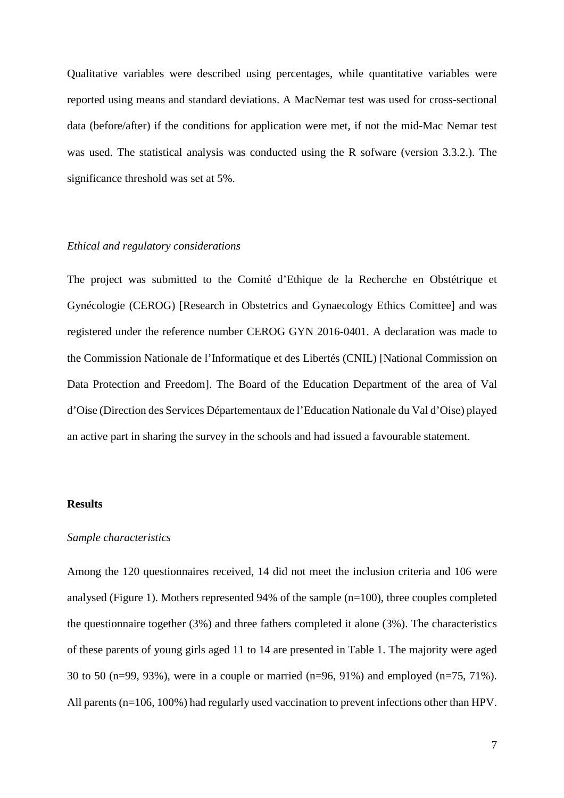Qualitative variables were described using percentages, while quantitative variables were reported using means and standard deviations. A MacNemar test was used for cross-sectional data (before/after) if the conditions for application were met, if not the mid-Mac Nemar test was used. The statistical analysis was conducted using the R sofware (version 3.3.2.). The significance threshold was set at 5%.

## *Ethical and regulatory considerations*

The project was submitted to the Comité d'Ethique de la Recherche en Obstétrique et Gynécologie (CEROG) [Research in Obstetrics and Gynaecology Ethics Comittee] and was registered under the reference number CEROG GYN 2016-0401. A declaration was made to the Commission Nationale de l'Informatique et des Libertés (CNIL) [National Commission on Data Protection and Freedom]. The Board of the Education Department of the area of Val d'Oise (Direction des Services Départementaux de l'Education Nationale du Val d'Oise) played an active part in sharing the survey in the schools and had issued a favourable statement.

#### **Results**

#### *Sample characteristics*

Among the 120 questionnaires received, 14 did not meet the inclusion criteria and 106 were analysed (Figure 1). Mothers represented 94% of the sample (n=100), three couples completed the questionnaire together (3%) and three fathers completed it alone (3%). The characteristics of these parents of young girls aged 11 to 14 are presented in Table 1. The majority were aged 30 to 50 (n=99, 93%), were in a couple or married (n=96, 91%) and employed (n=75, 71%). All parents (n=106, 100%) had regularly used vaccination to prevent infections other than HPV.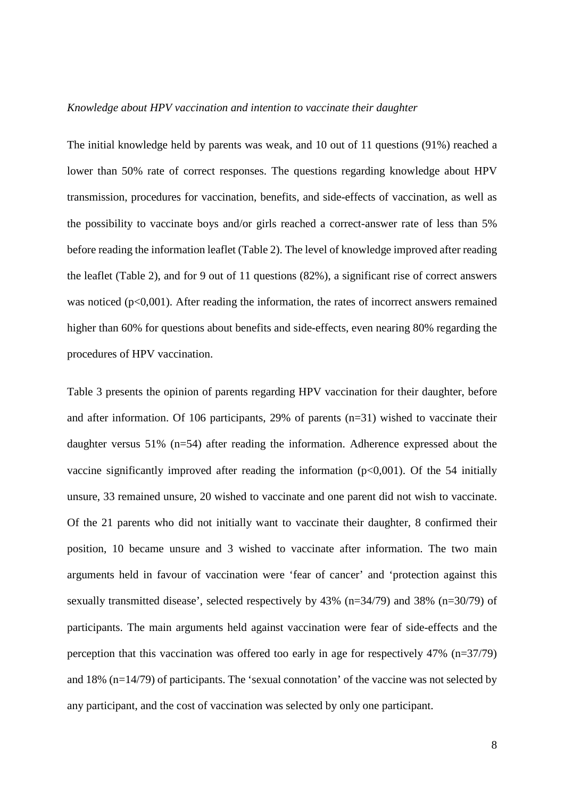#### *Knowledge about HPV vaccination and intention to vaccinate their daughter*

The initial knowledge held by parents was weak, and 10 out of 11 questions (91%) reached a lower than 50% rate of correct responses. The questions regarding knowledge about HPV transmission, procedures for vaccination, benefits, and side-effects of vaccination, as well as the possibility to vaccinate boys and/or girls reached a correct-answer rate of less than 5% before reading the information leaflet (Table 2). The level of knowledge improved after reading the leaflet (Table 2), and for 9 out of 11 questions (82%), a significant rise of correct answers was noticed  $(p<0.001)$ . After reading the information, the rates of incorrect answers remained higher than 60% for questions about benefits and side-effects, even nearing 80% regarding the procedures of HPV vaccination.

Table 3 presents the opinion of parents regarding HPV vaccination for their daughter, before and after information. Of 106 participants, 29% of parents (n=31) wished to vaccinate their daughter versus 51% (n=54) after reading the information. Adherence expressed about the vaccine significantly improved after reading the information  $(p<0,001)$ . Of the 54 initially unsure, 33 remained unsure, 20 wished to vaccinate and one parent did not wish to vaccinate. Of the 21 parents who did not initially want to vaccinate their daughter, 8 confirmed their position, 10 became unsure and 3 wished to vaccinate after information. The two main arguments held in favour of vaccination were 'fear of cancer' and 'protection against this sexually transmitted disease', selected respectively by 43% (n=34/79) and 38% (n=30/79) of participants. The main arguments held against vaccination were fear of side-effects and the perception that this vaccination was offered too early in age for respectively 47% (n=37/79) and 18% (n=14/79) of participants. The 'sexual connotation' of the vaccine was not selected by any participant, and the cost of vaccination was selected by only one participant.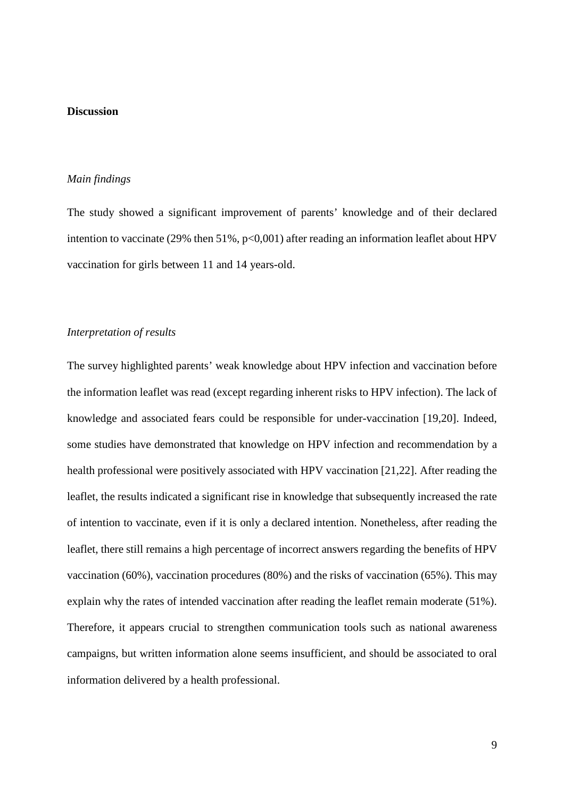## **Discussion**

#### *Main findings*

The study showed a significant improvement of parents' knowledge and of their declared intention to vaccinate (29% then  $51\%$ ,  $p<0,001$ ) after reading an information leaflet about HPV vaccination for girls between 11 and 14 years-old.

#### *Interpretation of results*

The survey highlighted parents' weak knowledge about HPV infection and vaccination before the information leaflet was read (except regarding inherent risks to HPV infection). The lack of knowledge and associated fears could be responsible for under-vaccination [19,20]. Indeed, some studies have demonstrated that knowledge on HPV infection and recommendation by a health professional were positively associated with HPV vaccination [21,22]. After reading the leaflet, the results indicated a significant rise in knowledge that subsequently increased the rate of intention to vaccinate, even if it is only a declared intention. Nonetheless, after reading the leaflet, there still remains a high percentage of incorrect answers regarding the benefits of HPV vaccination (60%), vaccination procedures (80%) and the risks of vaccination (65%). This may explain why the rates of intended vaccination after reading the leaflet remain moderate (51%). Therefore, it appears crucial to strengthen communication tools such as national awareness campaigns, but written information alone seems insufficient, and should be associated to oral information delivered by a health professional.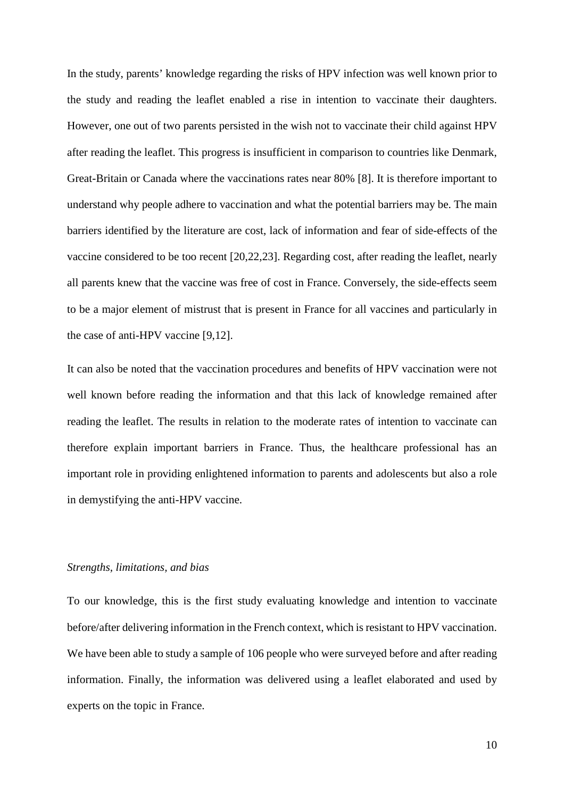In the study, parents' knowledge regarding the risks of HPV infection was well known prior to the study and reading the leaflet enabled a rise in intention to vaccinate their daughters. However, one out of two parents persisted in the wish not to vaccinate their child against HPV after reading the leaflet. This progress is insufficient in comparison to countries like Denmark, Great-Britain or Canada where the vaccinations rates near 80% [8]. It is therefore important to understand why people adhere to vaccination and what the potential barriers may be. The main barriers identified by the literature are cost, lack of information and fear of side-effects of the vaccine considered to be too recent [20,22,23]. Regarding cost, after reading the leaflet, nearly all parents knew that the vaccine was free of cost in France. Conversely, the side-effects seem to be a major element of mistrust that is present in France for all vaccines and particularly in the case of anti-HPV vaccine [9,12].

It can also be noted that the vaccination procedures and benefits of HPV vaccination were not well known before reading the information and that this lack of knowledge remained after reading the leaflet. The results in relation to the moderate rates of intention to vaccinate can therefore explain important barriers in France. Thus, the healthcare professional has an important role in providing enlightened information to parents and adolescents but also a role in demystifying the anti-HPV vaccine.

## *Strengths, limitations, and bias*

To our knowledge, this is the first study evaluating knowledge and intention to vaccinate before/after delivering information in the French context, which is resistant to HPV vaccination. We have been able to study a sample of 106 people who were surveyed before and after reading information. Finally, the information was delivered using a leaflet elaborated and used by experts on the topic in France.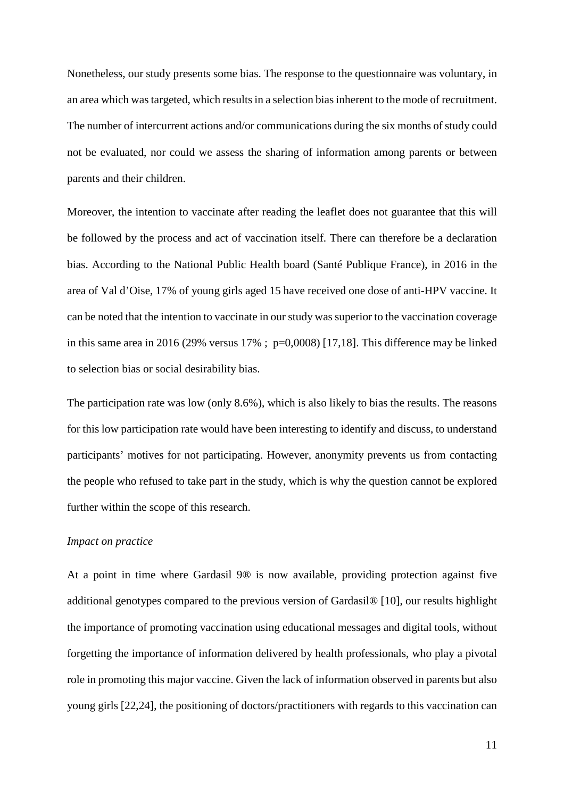Nonetheless, our study presents some bias. The response to the questionnaire was voluntary, in an area which was targeted, which results in a selection bias inherent to the mode of recruitment. The number of intercurrent actions and/or communications during the six months of study could not be evaluated, nor could we assess the sharing of information among parents or between parents and their children.

Moreover, the intention to vaccinate after reading the leaflet does not guarantee that this will be followed by the process and act of vaccination itself. There can therefore be a declaration bias. According to the National Public Health board (Santé Publique France), in 2016 in the area of Val d'Oise, 17% of young girls aged 15 have received one dose of anti-HPV vaccine. It can be noted that the intention to vaccinate in our study was superior to the vaccination coverage in this same area in 2016 (29% versus  $17\%$ ; p=0,0008) [17,18]. This difference may be linked to selection bias or social desirability bias.

The participation rate was low (only 8.6%), which is also likely to bias the results. The reasons for this low participation rate would have been interesting to identify and discuss, to understand participants' motives for not participating. However, anonymity prevents us from contacting the people who refused to take part in the study, which is why the question cannot be explored further within the scope of this research.

### *Impact on practice*

At a point in time where Gardasil 9® is now available, providing protection against five additional genotypes compared to the previous version of Gardasil® [10], our results highlight the importance of promoting vaccination using educational messages and digital tools, without forgetting the importance of information delivered by health professionals, who play a pivotal role in promoting this major vaccine. Given the lack of information observed in parents but also young girls [22,24], the positioning of doctors/practitioners with regards to this vaccination can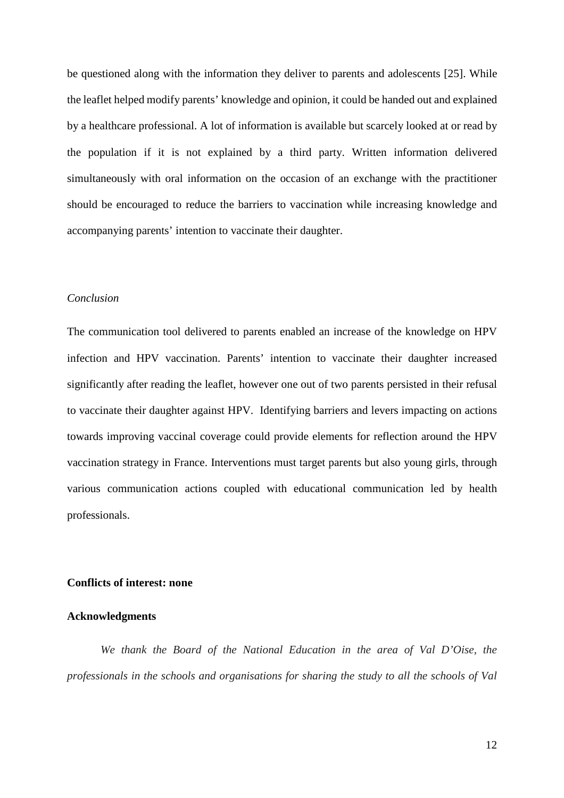be questioned along with the information they deliver to parents and adolescents [25]. While the leaflet helped modify parents' knowledge and opinion, it could be handed out and explained by a healthcare professional. A lot of information is available but scarcely looked at or read by the population if it is not explained by a third party. Written information delivered simultaneously with oral information on the occasion of an exchange with the practitioner should be encouraged to reduce the barriers to vaccination while increasing knowledge and accompanying parents' intention to vaccinate their daughter.

## *Conclusion*

The communication tool delivered to parents enabled an increase of the knowledge on HPV infection and HPV vaccination. Parents' intention to vaccinate their daughter increased significantly after reading the leaflet, however one out of two parents persisted in their refusal to vaccinate their daughter against HPV. Identifying barriers and levers impacting on actions towards improving vaccinal coverage could provide elements for reflection around the HPV vaccination strategy in France. Interventions must target parents but also young girls, through various communication actions coupled with educational communication led by health professionals.

#### **Conflicts of interest: none**

#### **Acknowledgments**

*We thank the Board of the National Education in the area of Val D'Oise, the professionals in the schools and organisations for sharing the study to all the schools of Val*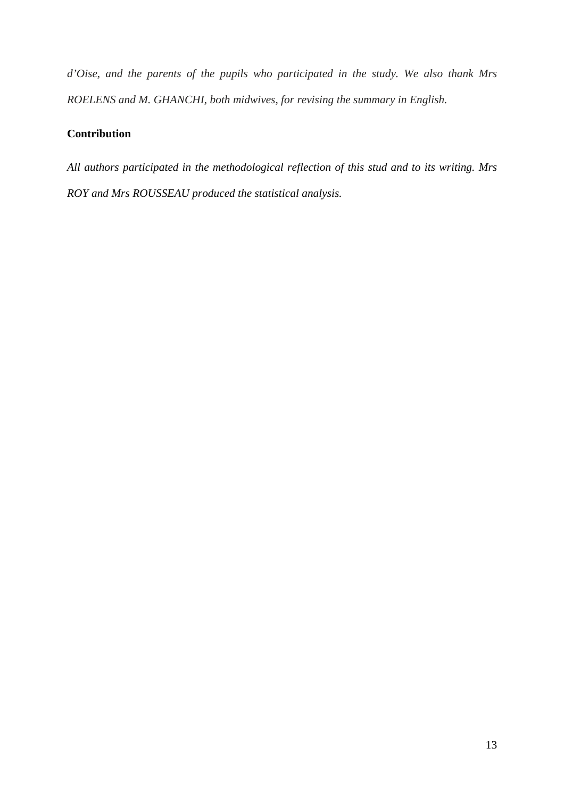*d'Oise, and the parents of the pupils who participated in the study. We also thank Mrs ROELENS and M. GHANCHI, both midwives, for revising the summary in English.* 

## **Contribution**

*All authors participated in the methodological reflection of this stud and to its writing. Mrs ROY and Mrs ROUSSEAU produced the statistical analysis.*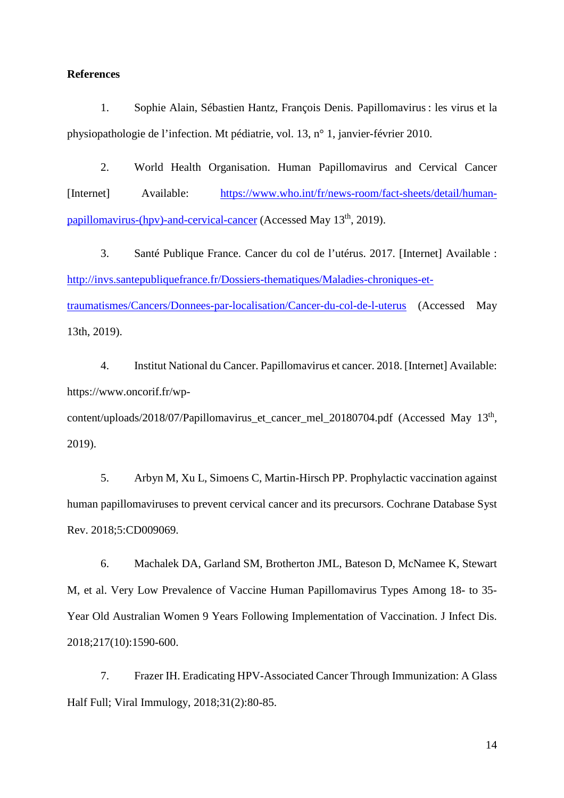#### **References**

1. Sophie Alain, Sébastien Hantz, François Denis. Papillomavirus : les virus et la physiopathologie de l'infection. Mt pédiatrie, vol. 13, n° 1, janvier-février 2010.

2. World Health Organisation. Human Papillomavirus and Cervical Cancer [Internet] Available: https://www.who.int/fr/news-room/fact-sheets/detail/humanpapillomavirus-(hpv)-and-cervical-cancer (Accessed May 13th, 2019).

3. Santé Publique France. Cancer du col de l'utérus. 2017. [Internet] Available : http://invs.santepubliquefrance.fr/Dossiers-thematiques/Maladies-chroniques-ettraumatismes/Cancers/Donnees-par-localisation/Cancer-du-col-de-l-uterus (Accessed May 13th, 2019).

4. Institut National du Cancer. Papillomavirus et cancer. 2018. [Internet] Available: https://www.oncorif.fr/wp-

content/uploads/2018/07/Papillomavirus\_et\_cancer\_mel\_20180704.pdf (Accessed May 13<sup>th</sup>, 2019).

5. Arbyn M, Xu L, Simoens C, Martin‐Hirsch PP. Prophylactic vaccination against human papillomaviruses to prevent cervical cancer and its precursors. Cochrane Database Syst Rev. 2018;5:CD009069.

6. Machalek DA, Garland SM, Brotherton JML, Bateson D, McNamee K, Stewart M, et al. Very Low Prevalence of Vaccine Human Papillomavirus Types Among 18- to 35- Year Old Australian Women 9 Years Following Implementation of Vaccination. J Infect Dis. 2018;217(10):1590‑600.

7. Frazer IH. Eradicating HPV-Associated Cancer Through Immunization: A Glass Half Full; Viral Immulogy, 2018;31(2):80-85.

14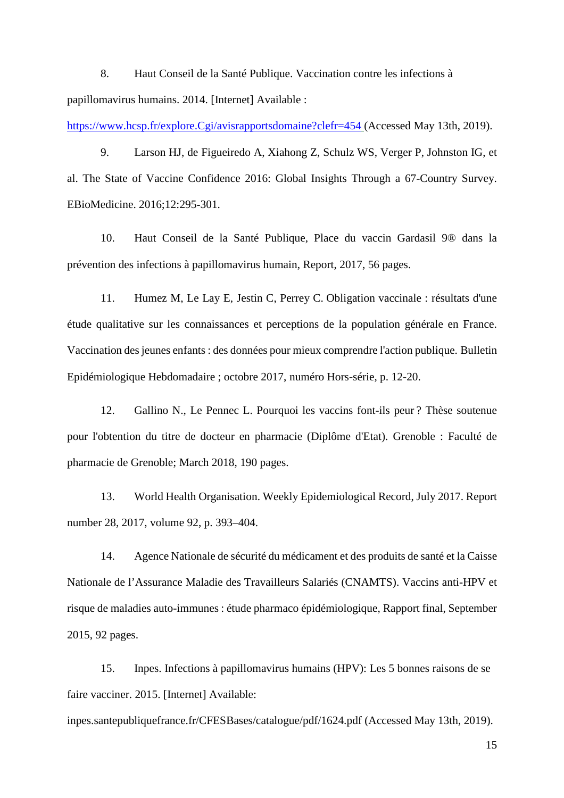8. Haut Conseil de la Santé Publique. Vaccination contre les infections à papillomavirus humains. 2014. [Internet] Available :

https://www.hcsp.fr/explore.Cgi/avisrapportsdomaine?clefr=454 (Accessed May 13th, 2019).

9. Larson HJ, de Figueiredo A, Xiahong Z, Schulz WS, Verger P, Johnston IG, et al. The State of Vaccine Confidence 2016: Global Insights Through a 67-Country Survey. EBioMedicine. 2016;12:295‑301.

10. Haut Conseil de la Santé Publique, Place du vaccin Gardasil 9® dans la prévention des infections à papillomavirus humain, Report, 2017, 56 pages.

11. Humez M, Le Lay E, Jestin C, Perrey C. Obligation vaccinale : résultats d'une étude qualitative sur les connaissances et perceptions de la population générale en France. Vaccination des jeunes enfants : des données pour mieux comprendre l'action publique. Bulletin Epidémiologique Hebdomadaire ; octobre 2017, numéro Hors-série, p. 12-20.

12. Gallino N., Le Pennec L. Pourquoi les vaccins font-ils peur ? Thèse soutenue pour l'obtention du titre de docteur en pharmacie (Diplôme d'Etat). Grenoble : Faculté de pharmacie de Grenoble; March 2018, 190 pages.

13. World Health Organisation. Weekly Epidemiological Record, July 2017. Report number 28, 2017, volume 92, p. 393–404.

14. Agence Nationale de sécurité du médicament et des produits de santé et la Caisse Nationale de l'Assurance Maladie des Travailleurs Salariés (CNAMTS). Vaccins anti-HPV et risque de maladies auto-immunes : étude pharmaco épidémiologique, Rapport final, September 2015, 92 pages.

15. Inpes. Infections à papillomavirus humains (HPV): Les 5 bonnes raisons de se faire vacciner. 2015. [Internet] Available:

inpes.santepubliquefrance.fr/CFESBases/catalogue/pdf/1624.pdf (Accessed May 13th, 2019).

15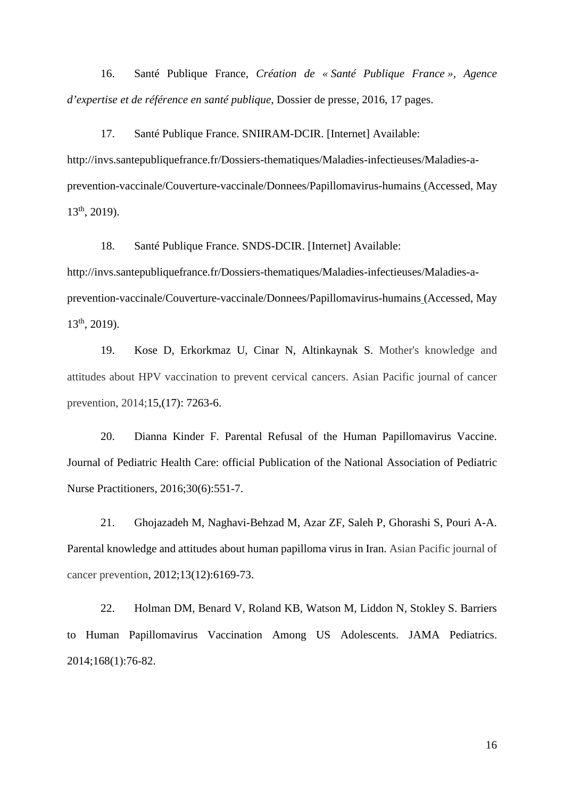16. Santé Publique France, *Création de « Santé Publique France », Agence d'expertise et de référence en santé publique*, Dossier de presse, 2016, 17 pages.

17. Santé Publique France. SNIIRAM-DCIR. [Internet] Available: http://invs.santepubliquefrance.fr/Dossiers-thematiques/Maladies-infectieuses/Maladies-aprevention-vaccinale/Couverture-vaccinale/Donnees/Papillomavirus-humains (Accessed, May  $13<sup>th</sup>$ , 2019).

18. Santé Publique France. SNDS-DCIR. [Internet] Available: http://invs.santepubliquefrance.fr/Dossiers-thematiques/Maladies-infectieuses/Maladies-aprevention-vaccinale/Couverture-vaccinale/Donnees/Papillomavirus-humains (Accessed, May 13th, 2019).

19. Kose D, Erkorkmaz U, Cinar N, Altinkaynak S. Mother's knowledge and attitudes about HPV vaccination to prevent cervical cancers. Asian Pacific journal of cancer prevention, 2014;15,(17): 7263-6.

20. Dianna Kinder F. Parental Refusal of the Human Papillomavirus Vaccine. Journal of Pediatric Health Care: official Publication of the National Association of Pediatric Nurse Practitioners, 2016;30(6):551‑7.

21. Ghojazadeh M, Naghavi-Behzad M, Azar ZF, Saleh P, Ghorashi S, Pouri A-A. Parental knowledge and attitudes about human papilloma virus in Iran. Asian Pacific journal of cancer prevention, 2012;13(12):6169-73.

22. Holman DM, Benard V, Roland KB, Watson M, Liddon N, Stokley S. Barriers to Human Papillomavirus Vaccination Among US Adolescents. JAMA Pediatrics. 2014;168(1):76‑82.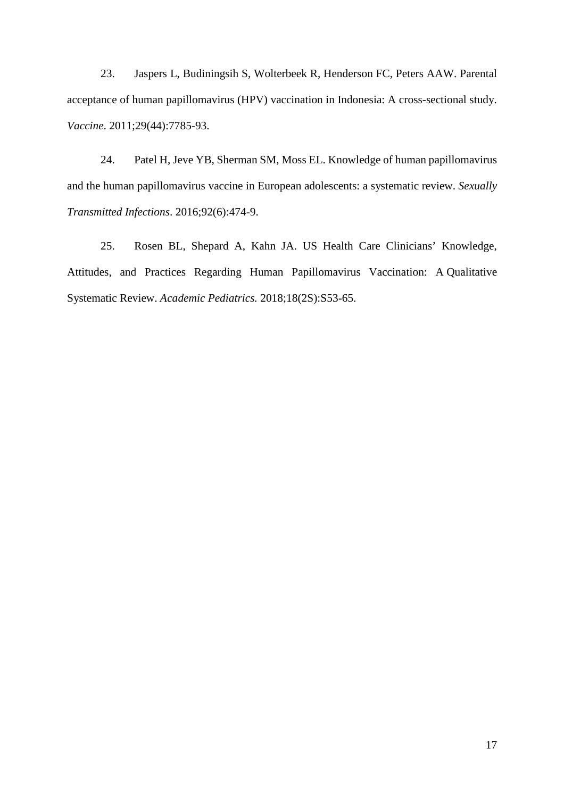23. Jaspers L, Budiningsih S, Wolterbeek R, Henderson FC, Peters AAW. Parental acceptance of human papillomavirus (HPV) vaccination in Indonesia: A cross-sectional study. *Vaccine*. 2011;29(44):7785‑93.

24. Patel H, Jeve YB, Sherman SM, Moss EL. Knowledge of human papillomavirus and the human papillomavirus vaccine in European adolescents: a systematic review. *Sexually Transmitted Infections*. 2016;92(6):474‑9.

25. Rosen BL, Shepard A, Kahn JA. US Health Care Clinicians' Knowledge, Attitudes, and Practices Regarding Human Papillomavirus Vaccination: A Qualitative Systematic Review. *Academic Pediatrics.* 2018;18(2S):S53‑65.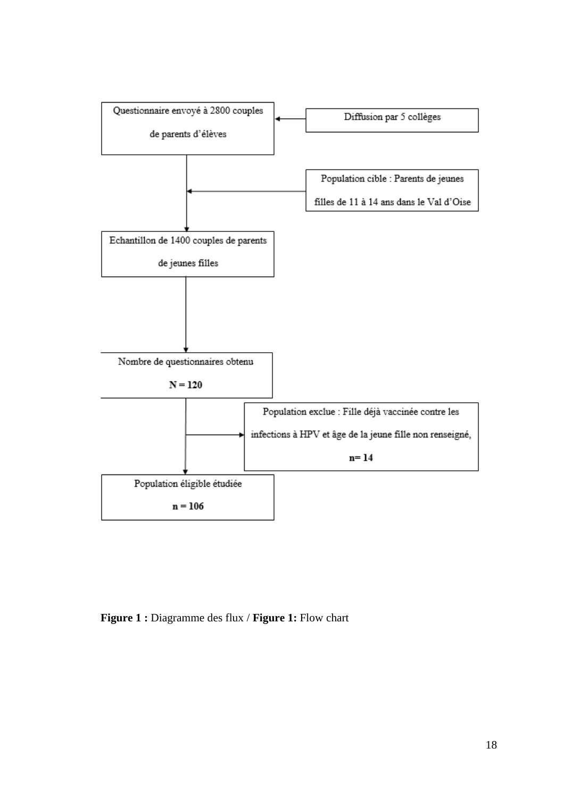

**Figure 1 :** Diagramme des flux / **Figure 1:** Flow chart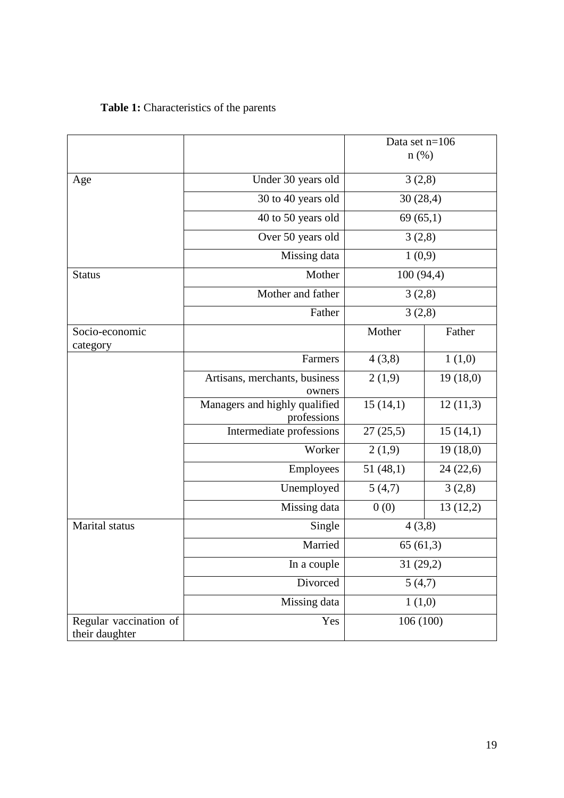# **Table 1:** Characteristics of the parents

|                                          |                                              | Data set n=106<br>$n$ (%) |           |  |
|------------------------------------------|----------------------------------------------|---------------------------|-----------|--|
|                                          |                                              |                           |           |  |
| Age                                      | Under 30 years old                           | 3(2,8)<br>30(28,4)        |           |  |
|                                          | 30 to 40 years old                           |                           |           |  |
|                                          | 40 to 50 years old                           |                           | 69(65,1)  |  |
|                                          | Over 50 years old                            | 3(2,8)                    |           |  |
|                                          | Missing data                                 |                           | 1(0,9)    |  |
| <b>Status</b>                            | Mother                                       | 100 (94,4)                |           |  |
|                                          | Mother and father                            | 3(2,8)                    |           |  |
|                                          | Father                                       | 3(2,8)                    |           |  |
| Socio-economic<br>category               |                                              | Mother                    | Father    |  |
|                                          | Farmers                                      | 4(3,8)                    | 1(1,0)    |  |
|                                          | Artisans, merchants, business<br>owners      | 2(1,9)                    | 19(18,0)  |  |
|                                          | Managers and highly qualified<br>professions | 15(14,1)                  | 12(11,3)  |  |
|                                          | Intermediate professions                     | 27(25,5)                  | 15(14,1)  |  |
|                                          | Worker                                       | 2(1,9)                    | 19(18,0)  |  |
|                                          | Employees                                    | 51(48,1)                  | 24(22,6)  |  |
|                                          | Unemployed                                   | 5(4,7)                    | 3(2,8)    |  |
|                                          | Missing data                                 | 0(0)                      | 13(12,2)  |  |
| Marital status                           | Single                                       |                           | 4(3,8)    |  |
|                                          | Married                                      |                           | 65(61,3)  |  |
|                                          | In a couple                                  |                           | 31 (29,2) |  |
|                                          | Divorced                                     | 5(4,7)                    |           |  |
|                                          | Missing data                                 |                           | 1(1,0)    |  |
| Regular vaccination of<br>their daughter | Yes                                          |                           | 106 (100) |  |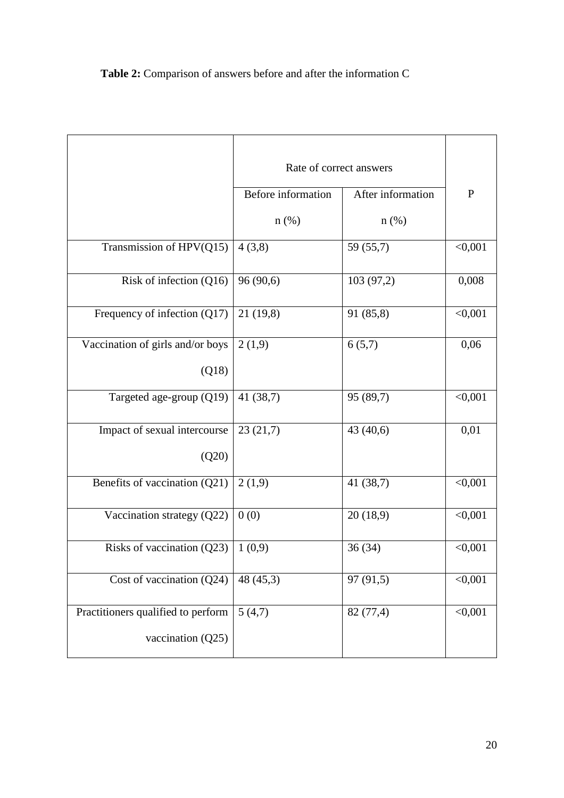**Table 2:** Comparison of answers before and after the information C

|                                                         | Rate of correct answers |                   |              |
|---------------------------------------------------------|-------------------------|-------------------|--------------|
|                                                         | Before information      | After information | $\mathbf{P}$ |
|                                                         | $n(\%)$                 | $n$ (%)           |              |
| Transmission of HPV(Q15)                                | 4(3,8)                  | 59 (55,7)         | < 0,001      |
| Risk of infection (Q16)                                 | 96 (90,6)               | 103 (97,2)        | 0,008        |
| Frequency of infection (Q17)                            | 21(19,8)                | 91 (85,8)         | < 0,001      |
| Vaccination of girls and/or boys                        | 2(1,9)                  | 6(5,7)            | 0,06         |
| (Q18)                                                   |                         |                   |              |
| Targeted age-group (Q19)                                | 41 (38,7)               | 95 (89,7)         | < 0,001      |
| Impact of sexual intercourse<br>(Q20)                   | 23(21,7)                | 43 (40,6)         | 0,01         |
| Benefits of vaccination (Q21)                           | 2(1,9)                  | 41 $(38,7)$       | < 0,001      |
| Vaccination strategy (Q22)                              | 0(0)                    | 20(18,9)          | < 0,001      |
| Risks of vaccination (Q23)                              | 1(0,9)                  | 36(34)            | < 0,001      |
| Cost of vaccination $(Q24)$                             | 48 (45,3)               | 97(91,5)          | < 0,001      |
| Practitioners qualified to perform<br>vaccination (Q25) | 5(4,7)                  | 82 (77,4)         | < 0,001      |